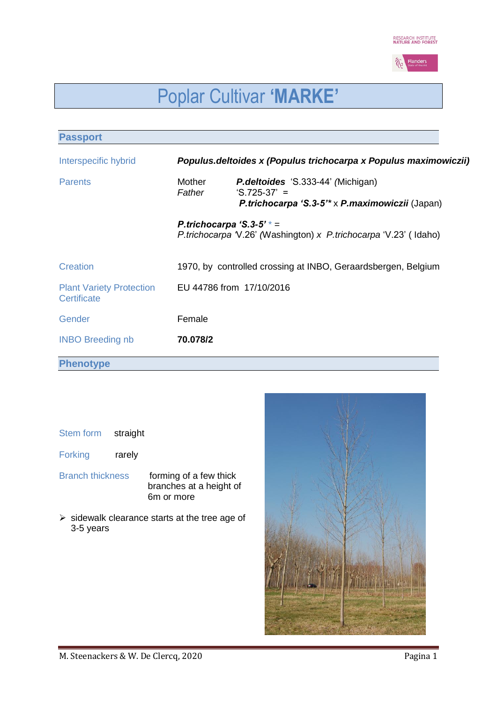

# Poplar Cultivar **'MARKE'**

| <b>Passport</b>                                |                  |                                                                                                                                   |
|------------------------------------------------|------------------|-----------------------------------------------------------------------------------------------------------------------------------|
| Interspecific hybrid                           |                  | Populus.deltoides x (Populus trichocarpa x Populus maximowiczii)                                                                  |
| <b>Parents</b>                                 | Mother<br>Father | <b>P.deltoides</b> 'S.333-44' (Michigan)<br>$^{\circ}$ S.725-37' =<br>P.trichocarpa 'S.3-5 <sup>**</sup> x P.maximowiczii (Japan) |
|                                                |                  | P.trichocarpa 'S.3-5' $* =$<br><i>P.trichocarpa</i> V.26' (Washington) x <i>P.trichocarpa</i> 'V.23' (Idaho)                      |
| Creation                                       |                  | 1970, by controlled crossing at INBO, Geraardsbergen, Belgium                                                                     |
| <b>Plant Variety Protection</b><br>Certificate |                  | EU 44786 from 17/10/2016                                                                                                          |
| Gender                                         | Female           |                                                                                                                                   |
| <b>INBO Breeding nb</b>                        | 70.078/2         |                                                                                                                                   |
| <b>Phenotype</b>                               |                  |                                                                                                                                   |

## Stem form straight

Forking rarely

Branch thickness forming of a few thick

branches at a height of 6m or more

 $\triangleright$  sidewalk clearance starts at the tree age of 3-5 years

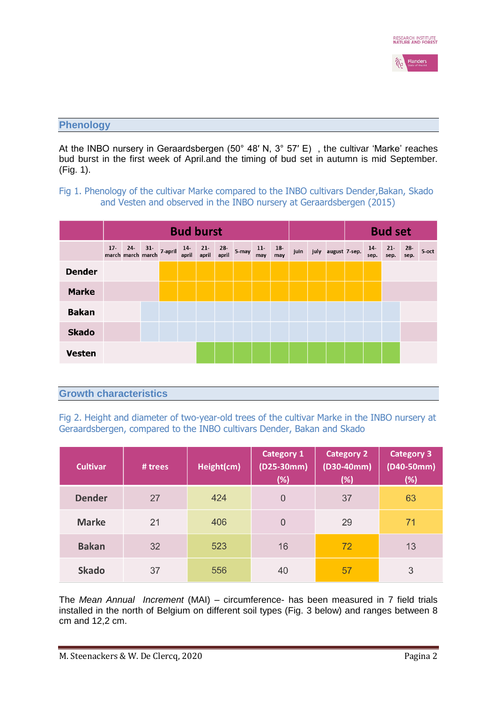

#### **Phenology**

At the INBO nursery in Geraardsbergen (50° 48' N, 3° 57' E), the cultivar 'Marke' reaches bud burst in the first week of April.and the timing of bud set in autumn is mid September. (Fig. 1).

## Fig 1. Phenology of the cultivar Marke compared to the INBO cultivars Dender, Bakan, Skado and Vesten and observed in the INBO nursery at Geraardsbergen (2015)

|               | <b>Bud burst</b> |  |  |                                                                                 |  |  |              | <b>Bud set</b> |              |              |      |                    |  |               |                |                |       |
|---------------|------------------|--|--|---------------------------------------------------------------------------------|--|--|--------------|----------------|--------------|--------------|------|--------------------|--|---------------|----------------|----------------|-------|
|               |                  |  |  | 17- 24- 31- 7-april 14- 21-<br>march march march <sup>7-april</sup> april april |  |  | 28-<br>april | 5-may          | $11-$<br>may | $18-$<br>may | juin | july august 7-sep. |  | $14-$<br>sep. | $21 -$<br>sep. | $28 -$<br>sep. | 5-oct |
| <b>Dender</b> |                  |  |  |                                                                                 |  |  |              |                |              |              |      |                    |  |               |                |                |       |
| <b>Marke</b>  |                  |  |  |                                                                                 |  |  |              |                |              |              |      |                    |  |               |                |                |       |
| <b>Bakan</b>  |                  |  |  |                                                                                 |  |  |              |                |              |              |      |                    |  |               |                |                |       |
| <b>Skado</b>  |                  |  |  |                                                                                 |  |  |              |                |              |              |      |                    |  |               |                |                |       |
| <b>Vesten</b> |                  |  |  |                                                                                 |  |  |              |                |              |              |      |                    |  |               |                |                |       |

## **Growth characteristics**

Fig 2. Height and diameter of two-year-old trees of the cultivar Marke in the INBO nursery at Geraardsbergen, compared to the INBO cultivars Dender, Bakan and Skado

| <b>Cultivar</b> | # trees | Height(cm) | <b>Category 1</b><br>$(D25-30mm)$<br>$(\%)$ | <b>Category 2</b><br>$(D30-40mm)$<br>(%) | <b>Category 3</b><br>$(D40 - 50mm)$<br>$(\%)$ |
|-----------------|---------|------------|---------------------------------------------|------------------------------------------|-----------------------------------------------|
| <b>Dender</b>   | 27      | 424        | $\overline{0}$                              | 37                                       | 63                                            |
| <b>Marke</b>    | 21      | 406        | $\overline{0}$                              | 29                                       | 71                                            |
| <b>Bakan</b>    | 32      | 523        | 16                                          | 72                                       | 13                                            |
| <b>Skado</b>    | 37      | 556        | 40                                          | 57                                       | 3                                             |

The *Mean Annual Increment* (MAI) – circumference- has been measured in 7 field trials installed in the north of Belgium on different soil types (Fig. 3 below) and ranges between 8 cm and 12,2 cm.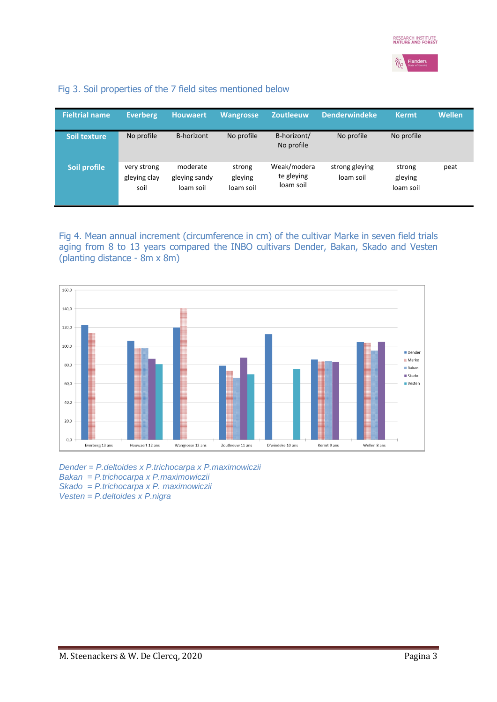

## Fig 3. Soil properties of the 7 field sites mentioned below

| <b>Fieltrial name</b> | Everberg                            | <b>Houwaert</b>                        | Wangrosse                      | <b>Zoutleeuw</b>                       | <b>Denderwindeke</b>        | <b>Kermt</b>                   | <b>Wellen</b> |
|-----------------------|-------------------------------------|----------------------------------------|--------------------------------|----------------------------------------|-----------------------------|--------------------------------|---------------|
| Soil texture          | No profile                          | B-horizont                             | No profile                     | B-horizont/<br>No profile              | No profile                  | No profile                     |               |
| Soil profile          | very strong<br>gleying clay<br>soil | moderate<br>gleying sandy<br>loam soil | strong<br>gleying<br>loam soil | Weak/modera<br>te gleying<br>loam soil | strong gleying<br>loam soil | strong<br>gleying<br>loam soil | peat          |

Fig 4. Mean annual increment (circumference in cm) of the cultivar Marke in seven field trials aging from 8 to 13 years compared the INBO cultivars Dender, Bakan, Skado and Vesten (planting distance - 8m x 8m)



*Dender = P.deltoides x P.trichocarpa x P.maximowiczii Bakan = P.trichocarpa x P.maximowiczii Skado = P.trichocarpa x P. maximowiczii Vesten = P.deltoides x P.nigra*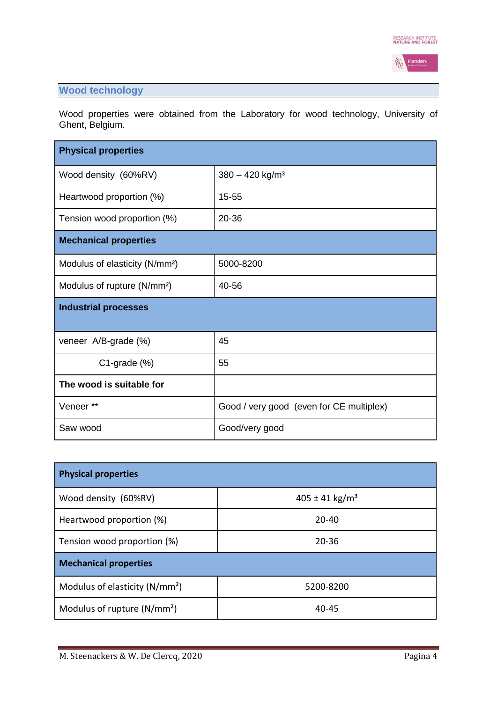

## **Wood technology**

Wood properties were obtained from the Laboratory for wood technology, University of Ghent, Belgium.

| <b>Physical properties</b>                 |                                          |  |  |  |  |
|--------------------------------------------|------------------------------------------|--|--|--|--|
| Wood density (60%RV)                       | $380 - 420$ kg/m <sup>3</sup>            |  |  |  |  |
| Heartwood proportion (%)                   | 15-55                                    |  |  |  |  |
| Tension wood proportion (%)                | 20-36                                    |  |  |  |  |
| <b>Mechanical properties</b>               |                                          |  |  |  |  |
| Modulus of elasticity (N/mm <sup>2</sup> ) | 5000-8200                                |  |  |  |  |
| Modulus of rupture (N/mm <sup>2</sup> )    | 40-56                                    |  |  |  |  |
| <b>Industrial processes</b>                |                                          |  |  |  |  |
| veneer A/B-grade (%)                       | 45                                       |  |  |  |  |
| $C1$ -grade $(\%)$                         | 55                                       |  |  |  |  |
| The wood is suitable for                   |                                          |  |  |  |  |
| Veneer **                                  | Good / very good (even for CE multiplex) |  |  |  |  |
| Saw wood                                   | Good/very good                           |  |  |  |  |

| <b>Physical properties</b>                 |                                |  |  |  |  |  |  |
|--------------------------------------------|--------------------------------|--|--|--|--|--|--|
| Wood density (60%RV)                       | $405 \pm 41$ kg/m <sup>3</sup> |  |  |  |  |  |  |
| Heartwood proportion (%)                   | $20 - 40$                      |  |  |  |  |  |  |
| Tension wood proportion (%)                | 20-36                          |  |  |  |  |  |  |
| <b>Mechanical properties</b>               |                                |  |  |  |  |  |  |
| Modulus of elasticity (N/mm <sup>2</sup> ) | 5200-8200                      |  |  |  |  |  |  |
| Modulus of rupture $(N/mm2)$               | $40 - 45$                      |  |  |  |  |  |  |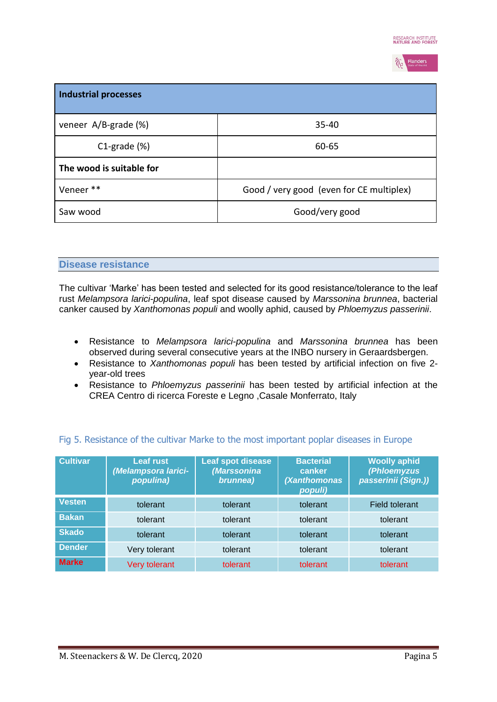

| <b>Industrial processes</b> |                                          |
|-----------------------------|------------------------------------------|
| veneer A/B-grade (%)        | $35 - 40$                                |
| $C1$ -grade $(\%)$          | 60-65                                    |
| The wood is suitable for    |                                          |
| Veneer **                   | Good / very good (even for CE multiplex) |
| Saw wood                    | Good/very good                           |

#### **Disease resistance**

The cultivar 'Marke' has been tested and selected for its good resistance/tolerance to the leaf rust *Melampsora larici-populina*, leaf spot disease caused by *Marssonina brunnea*, bacterial canker caused by *Xanthomonas populi* and woolly aphid, caused by *Phloemyzus passerinii*.

- Resistance to *Melampsora larici-populina* and *Marssonina brunnea* has been observed during several consecutive years at the INBO nursery in Geraardsbergen.
- Resistance to *Xanthomonas populi* has been tested by artificial infection on five 2 year-old trees
- Resistance to *Phloemyzus passerinii* has been tested by artificial infection at the CREA Centro di ricerca Foreste e Legno ,Casale Monferrato, Italy

| <b>Cultivar</b> | <b>Leaf rust</b><br>(Melampsora larici-<br>populina) | Leaf spot disease<br>(Marssonina<br>brunnea) | <b>Bacterial</b><br>canker<br>(Xanthomonas<br>populi) | <b>Woolly aphid</b><br>(Phloemyzus<br>passerinii (Sign.)) |
|-----------------|------------------------------------------------------|----------------------------------------------|-------------------------------------------------------|-----------------------------------------------------------|
| <b>Vesten</b>   | tolerant                                             | tolerant                                     | tolerant                                              | <b>Field tolerant</b>                                     |
| <b>Bakan</b>    | tolerant                                             | tolerant                                     | tolerant                                              | tolerant                                                  |
| <b>Skado</b>    | tolerant                                             | tolerant                                     | tolerant                                              | tolerant                                                  |
| <b>Dender</b>   | Very tolerant                                        | tolerant                                     | tolerant                                              | tolerant                                                  |
| <b>Marke</b>    | Very tolerant                                        | tolerant                                     | tolerant                                              | tolerant                                                  |

## Fig 5. Resistance of the cultivar Marke to the most important poplar diseases in Europe